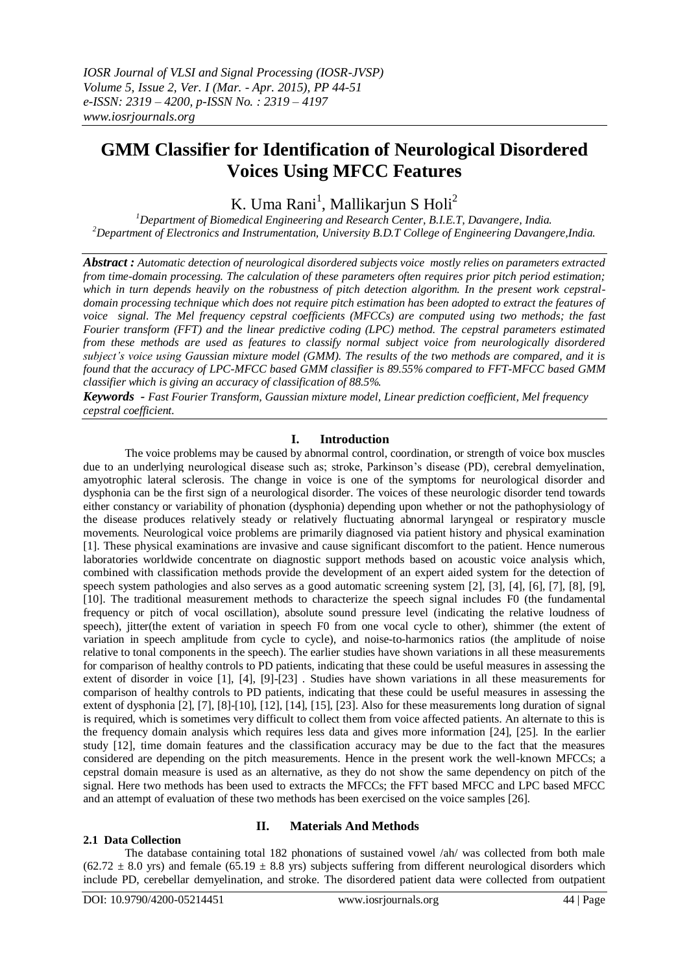# **GMM Classifier for Identification of Neurological Disordered Voices Using MFCC Features**

K. Uma Rani<sup>1</sup>, Mallikarjun S Holi<sup>2</sup>

*<sup>1</sup>Department of Biomedical Engineering and Research Center, B.I.E.T, Davangere, India. <sup>2</sup>Department of Electronics and Instrumentation, University B.D.T College of Engineering Davangere,India.*

*Abstract : Automatic detection of neurological disordered subjects voice mostly relies on parameters extracted from time-domain processing. The calculation of these parameters often requires prior pitch period estimation; which in turn depends heavily on the robustness of pitch detection algorithm. In the present work cepstraldomain processing technique which does not require pitch estimation has been adopted to extract the features of voice signal. The Mel frequency cepstral coefficients (MFCCs) are computed using two methods; the fast Fourier transform (FFT) and the linear predictive coding (LPC) method. The cepstral parameters estimated from these methods are used as features to classify normal subject voice from neurologically disordered subject's voice using Gaussian mixture model (GMM). The results of the two methods are compared, and it is found that the accuracy of LPC-MFCC based GMM classifier is 89.55% compared to FFT-MFCC based GMM classifier which is giving an accuracy of classification of 88.5%.* 

*Keywords - Fast Fourier Transform, Gaussian mixture model, Linear prediction coefficient, Mel frequency cepstral coefficient.*

## **I. Introduction**

The voice problems may be caused by abnormal control, coordination, or strength of voice box muscles due to an underlying neurological disease such as; stroke, Parkinson's disease (PD), cerebral demyelination, amyotrophic lateral sclerosis. The change in voice is one of the symptoms for neurological disorder and dysphonia can be the first sign of a neurological disorder. The voices of these neurologic disorder tend towards either constancy or variability of phonation (dysphonia) depending upon whether or not the pathophysiology of the disease produces relatively steady or relatively fluctuating abnormal laryngeal or respiratory muscle movements. Neurological voice problems are primarily diagnosed via patient history and physical examination [1]. These physical examinations are invasive and cause significant discomfort to the patient. Hence numerous laboratories worldwide concentrate on diagnostic support methods based on acoustic voice analysis which, combined with classification methods provide the development of an expert aided system for the detection of speech system pathologies and also serves as a good automatic screening system [2], [3], [4], [6], [7], [8], [9], [10]. The traditional measurement methods to characterize the speech signal includes F0 (the fundamental frequency or pitch of vocal oscillation), absolute sound pressure level (indicating the relative loudness of speech), jitter(the extent of variation in speech F0 from one vocal cycle to other), shimmer (the extent of variation in speech amplitude from cycle to cycle), and noise-to-harmonics ratios (the amplitude of noise relative to tonal components in the speech). The earlier studies have shown variations in all these measurements for comparison of healthy controls to PD patients, indicating that these could be useful measures in assessing the extent of disorder in voice [1], [4], [9]-[23] . Studies have shown variations in all these measurements for comparison of healthy controls to PD patients, indicating that these could be useful measures in assessing the extent of dysphonia [2], [7], [8]-[10], [12], [14], [15], [23]. Also for these measurements long duration of signal is required, which is sometimes very difficult to collect them from voice affected patients. An alternate to this is the frequency domain analysis which requires less data and gives more information [24], [25]. In the earlier study [12], time domain features and the classification accuracy may be due to the fact that the measures considered are depending on the pitch measurements. Hence in the present work the well-known MFCCs; a cepstral domain measure is used as an alternative, as they do not show the same dependency on pitch of the signal. Here two methods has been used to extracts the MFCCs; the FFT based MFCC and LPC based MFCC and an attempt of evaluation of these two methods has been exercised on the voice samples [26].

## **2.1 Data Collection**

#### **II. Materials And Methods**

The database containing total 182 phonations of sustained vowel /ah/ was collected from both male  $(62.72 \pm 8.0 \text{ yrs})$  and female  $(65.19 \pm 8.8 \text{ yrs})$  subjects suffering from different neurological disorders which include PD, cerebellar demyelination, and stroke. The disordered patient data were collected from outpatient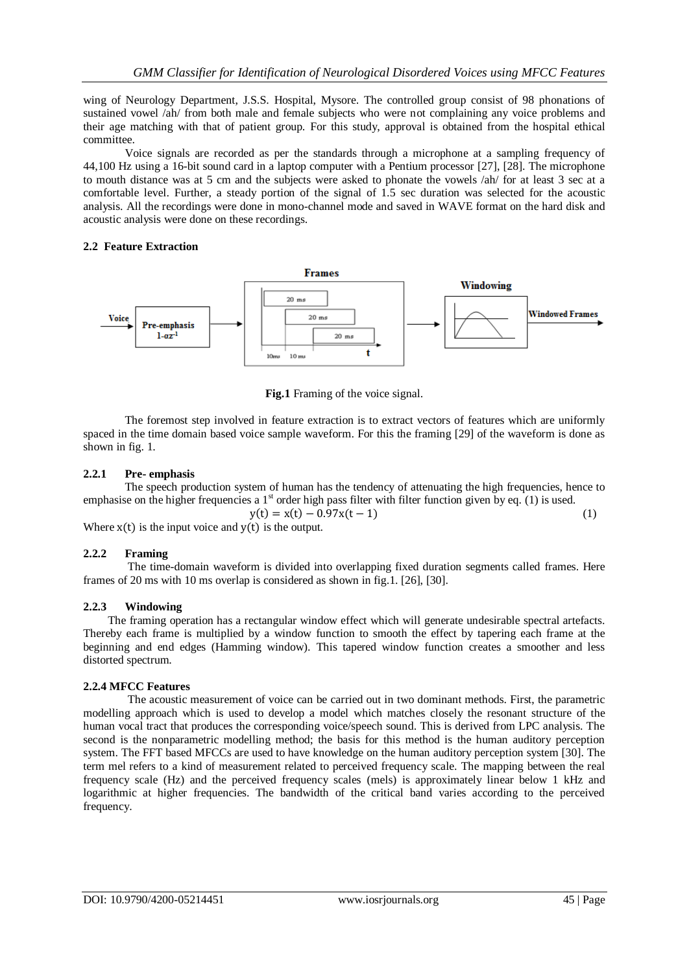wing of Neurology Department, J.S.S. Hospital, Mysore. The controlled group consist of 98 phonations of sustained vowel /ah/ from both male and female subjects who were not complaining any voice problems and their age matching with that of patient group. For this study, approval is obtained from the hospital ethical committee.

Voice signals are recorded as per the standards through a microphone at a sampling frequency of 44,100 Hz using a 16-bit sound card in a laptop computer with a Pentium processor [27], [28]. The microphone to mouth distance was at 5 cm and the subjects were asked to phonate the vowels /ah/ for at least 3 sec at a comfortable level. Further, a steady portion of the signal of 1.5 sec duration was selected for the acoustic analysis. All the recordings were done in mono-channel mode and saved in WAVE format on the hard disk and acoustic analysis were done on these recordings.

## **2.2 Feature Extraction**



**Fig.1** Framing of the voice signal.

The foremost step involved in feature extraction is to extract vectors of features which are uniformly spaced in the time domain based voice sample waveform. For this the framing [29] of the waveform is done as shown in fig. 1.

# **2.2.1 Pre- emphasis**

The speech production system of human has the tendency of attenuating the high frequencies, hence to emphasise on the higher frequencies a  $1<sup>st</sup>$  order high pass filter with filter function given by eq. (1) is used.

$$
y(t) = x(t) - 0.97x(t-1)
$$
 (1)

Where  $x(t)$  is the input voice and  $y(t)$  is the output.

## **2.2.2 Framing**

The time-domain waveform is divided into overlapping fixed duration segments called frames. Here frames of 20 ms with 10 ms overlap is considered as shown in fig.1. [26], [30].

# **2.2.3 Windowing**

The framing operation has a rectangular window effect which will generate undesirable spectral artefacts. Thereby each frame is multiplied by a window function to smooth the effect by tapering each frame at the beginning and end edges (Hamming window). This tapered window function creates a smoother and less distorted spectrum.

## **2.2.4 MFCC Features**

The acoustic measurement of voice can be carried out in two dominant methods. First, the parametric modelling approach which is used to develop a model which matches closely the resonant structure of the human vocal tract that produces the corresponding voice/speech sound. This is derived from LPC analysis. The second is the nonparametric modelling method; the basis for this method is the human auditory perception system. The FFT based MFCCs are used to have knowledge on the human auditory perception system [30]. The term mel refers to a kind of measurement related to perceived frequency scale. The mapping between the real frequency scale (Hz) and the perceived frequency scales (mels) is approximately linear below 1 kHz and logarithmic at higher frequencies. The bandwidth of the critical band varies according to the perceived frequency.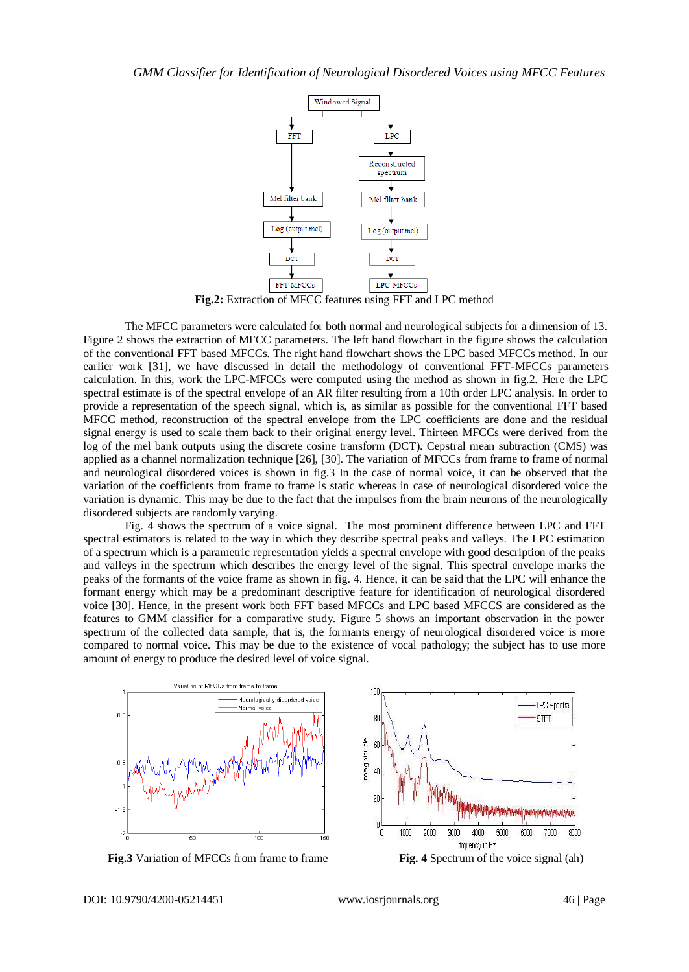

**Fig.2:** Extraction of MFCC features using FFT and LPC method

The MFCC parameters were calculated for both normal and neurological subjects for a dimension of 13. Figure 2 shows the extraction of MFCC parameters. The left hand flowchart in the figure shows the calculation of the conventional FFT based MFCCs. The right hand flowchart shows the LPC based MFCCs method. In our earlier work [31], we have discussed in detail the methodology of conventional FFT-MFCCs parameters calculation. In this, work the LPC-MFCCs were computed using the method as shown in fig.2. Here the LPC spectral estimate is of the spectral envelope of an AR filter resulting from a 10th order LPC analysis. In order to provide a representation of the speech signal, which is, as similar as possible for the conventional FFT based MFCC method, reconstruction of the spectral envelope from the LPC coefficients are done and the residual signal energy is used to scale them back to their original energy level. Thirteen MFCCs were derived from the log of the mel bank outputs using the discrete cosine transform (DCT). Cepstral mean subtraction (CMS) was applied as a channel normalization technique [26], [30]. The variation of MFCCs from frame to frame of normal and neurological disordered voices is shown in fig.3 In the case of normal voice, it can be observed that the variation of the coefficients from frame to frame is static whereas in case of neurological disordered voice the variation is dynamic. This may be due to the fact that the impulses from the brain neurons of the neurologically disordered subjects are randomly varying.

Fig. 4 shows the spectrum of a voice signal. The most prominent difference between LPC and FFT spectral estimators is related to the way in which they describe spectral peaks and valleys. The LPC estimation of a spectrum which is a parametric representation yields a spectral envelope with good description of the peaks and valleys in the spectrum which describes the energy level of the signal. This spectral envelope marks the peaks of the formants of the voice frame as shown in fig. 4. Hence, it can be said that the LPC will enhance the formant energy which may be a predominant descriptive feature for identification of neurological disordered voice [30]. Hence, in the present work both FFT based MFCCs and LPC based MFCCS are considered as the features to GMM classifier for a comparative study. Figure 5 shows an important observation in the power spectrum of the collected data sample, that is, the formants energy of neurological disordered voice is more compared to normal voice. This may be due to the existence of vocal pathology; the subject has to use more amount of energy to produce the desired level of voice signal.



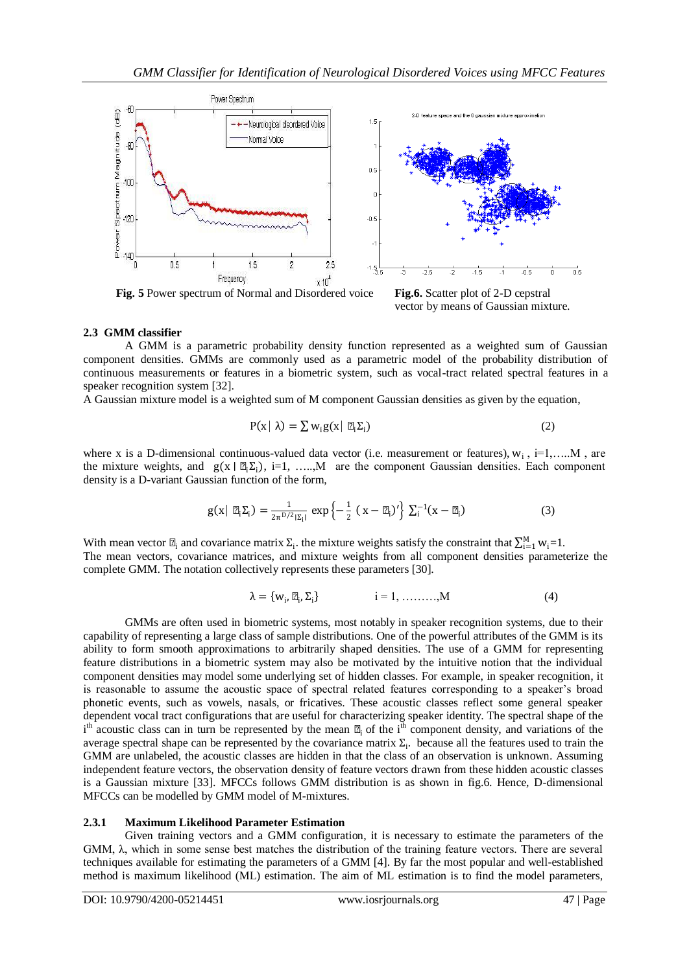

**Fig. 5** Power spectrum of Normal and Disordered voice **Fig.6.** Scatter plot of 2-D cepstral



## **2.3 GMM classifier**

A GMM is a parametric probability density function represented as a weighted sum of Gaussian component densities. GMMs are commonly used as a parametric model of the probability distribution of continuous measurements or features in a biometric system, such as vocal-tract related spectral features in a speaker recognition system [32].

A Gaussian mixture model is a weighted sum of M component Gaussian densities as given by the equation,

$$
P(x | \lambda) = \sum w_i g(x | \mu_i \Sigma_i)
$$
 (2)

where x is a D-dimensional continuous-valued data vector (i.e. measurement or features),  $w_i$ ,  $i=1,....M$ , are the mixture weights, and  $g(x | \mu_i \Sigma_i)$ , i=1, ....,M are the component Gaussian densities. Each component density is a D-variant Gaussian function of the form,

$$
g(x | \mu_i \Sigma_i) = \frac{1}{2\pi^{D/2} |\Sigma_i|} \exp \left\{-\frac{1}{2} (x - \mu_i)' \right\} \Sigma_i^{-1} (x - \mu_i)
$$
 (3)

With mean vector  $\mu_i$  and covariance matrix  $\Sigma_i$ , the mixture weights satisfy the constraint that  $\sum_{i=1}^{M} w_i = 1$ . The mean vectors, covariance matrices, and mixture weights from all component densities parameterize the complete GMM. The notation collectively represents these parameters [30].

$$
\lambda = \{w_i, \mu_i, \Sigma_i\} \qquad i = 1, \dots, M \tag{4}
$$

GMMs are often used in biometric systems, most notably in speaker recognition systems, due to their capability of representing a large class of sample distributions. One of the powerful attributes of the GMM is its ability to form smooth approximations to arbitrarily shaped densities. The use of a GMM for representing feature distributions in a biometric system may also be motivated by the intuitive notion that the individual component densities may model some underlying set of hidden classes. For example, in speaker recognition, it is reasonable to assume the acoustic space of spectral related features corresponding to a speaker's broad phonetic events, such as vowels, nasals, or fricatives. These acoustic classes reflect some general speaker dependent vocal tract configurations that are useful for characterizing speaker identity. The spectral shape of the  $i<sup>th</sup>$  acoustic class can in turn be represented by the mean  $\mu_i$  of the  $i<sup>th</sup>$  component density, and variations of the average spectral shape can be represented by the covariance matrix  $\Sigma_i$ . because all the features used to train the GMM are unlabeled, the acoustic classes are hidden in that the class of an observation is unknown. Assuming independent feature vectors, the observation density of feature vectors drawn from these hidden acoustic classes is a Gaussian mixture [33]. MFCCs follows GMM distribution is as shown in fig.6. Hence, D-dimensional MFCCs can be modelled by GMM model of M-mixtures.

## **2.3.1 Maximum Likelihood Parameter Estimation**

Given training vectors and a GMM configuration, it is necessary to estimate the parameters of the GMM, λ, which in some sense best matches the distribution of the training feature vectors. There are several techniques available for estimating the parameters of a GMM [4]. By far the most popular and well-established method is maximum likelihood (ML) estimation. The aim of ML estimation is to find the model parameters,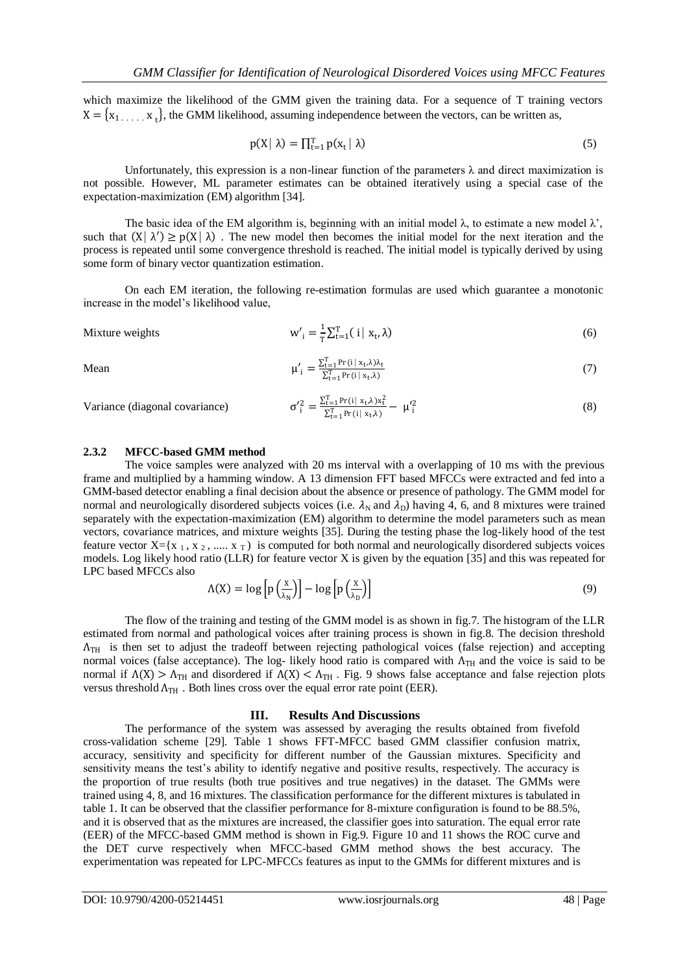which maximize the likelihood of the GMM given the training data. For a sequence of T training vectors  $X = \{x_1, \ldots, x_t\}$ , the GMM likelihood, assuming independence between the vectors, can be written as,

$$
p(X \mid \lambda) = \prod_{t=1}^{T} p(x_t \mid \lambda) \tag{5}
$$

Unfortunately, this expression is a non-linear function of the parameters  $\lambda$  and direct maximization is not possible. However, ML parameter estimates can be obtained iteratively using a special case of the expectation-maximization (EM) algorithm [34].

The basic idea of the EM algorithm is, beginning with an initial model  $\lambda$ , to estimate a new model  $\lambda'$ . such that  $(X | \lambda') \geq p(X | \lambda)$ . The new model then becomes the initial model for the next iteration and the process is repeated until some convergence threshold is reached. The initial model is typically derived by using some form of binary vector quantization estimation.

On each EM iteration, the following re-estimation formulas are used which guarantee a monotonic increase in the model's likelihood value,

Mixture weights 
$$
w'_{i} = \frac{1}{T} \sum_{t=1}^{T} (i | x_{t}, \lambda)
$$
 (6)

Mean  $\mu'_i =$ 

$$
\mu'_{i} = \frac{\sum_{t=1}^{T} \Pr(i \mid x_{t}, \lambda)\lambda_{t}}{\sum_{t=1}^{T} \Pr(i \mid x_{t}, \lambda)}
$$
(7)

Variance (diagonal covariance)

$$
\sigma_i^2 = \frac{\sum_{t=1}^{T} Pr(i | x_t, \lambda) x_t^2}{\sum_{t=1}^{T} Pr(i | x_t, \lambda)} - \mu_i^2
$$
\n(8)

#### **2.3.2 MFCC-based GMM method**

The voice samples were analyzed with 20 ms interval with a overlapping of 10 ms with the previous frame and multiplied by a hamming window. A 13 dimension FFT based MFCCs were extracted and fed into a GMM-based detector enabling a final decision about the absence or presence of pathology. The GMM model for normal and neurologically disordered subjects voices (i.e.  $\lambda_N$  and  $\lambda_D$ ) having 4, 6, and 8 mixtures were trained separately with the expectation-maximization (EM) algorithm to determine the model parameters such as mean vectors, covariance matrices, and mixture weights [35]. During the testing phase the log-likely hood of the test feature vector  $X = \{x_1, x_2, \dots, x_T\}$  is computed for both normal and neurologically disordered subjects voices models. Log likely hood ratio (LLR) for feature vector X is given by the equation [35] and this was repeated for LPC based MFCCs also

$$
\Lambda(X) = \log \left[ p \left( \frac{X}{\lambda_N} \right) \right] - \log \left[ p \left( \frac{X}{\lambda_D} \right) \right] \tag{9}
$$

The flow of the training and testing of the GMM model is as shown in fig.7. The histogram of the LLR estimated from normal and pathological voices after training process is shown in fig.8. The decision threshold  $\Lambda_{\text{TH}}$  is then set to adjust the tradeoff between rejecting pathological voices (false rejection) and accepting normal voices (false acceptance). The log- likely hood ratio is compared with  $\Lambda_{TH}$  and the voice is said to be normal if  $Λ(X) > Λ<sub>TH</sub>$  and disordered if  $Λ(X) < Λ<sub>TH</sub>$ . Fig. 9 shows false acceptance and false rejection plots versus threshold  $\Lambda_{TH}$ . Both lines cross over the equal error rate point (EER).

#### **III. Results And Discussions**

The performance of the system was assessed by averaging the results obtained from fivefold cross-validation scheme [29]. Table 1 shows FFT-MFCC based GMM classifier confusion matrix, accuracy, sensitivity and specificity for different number of the Gaussian mixtures. Specificity and sensitivity means the test's ability to identify negative and positive results, respectively. The accuracy is the proportion of true results (both true positives and true negatives) in the dataset. The GMMs were trained using 4, 8, and 16 mixtures. The classification performance for the different mixtures is tabulated in table 1. It can be observed that the classifier performance for 8-mixture configuration is found to be 88.5%, and it is observed that as the mixtures are increased, the classifier goes into saturation. The equal error rate (EER) of the MFCC-based GMM method is shown in Fig.9. Figure 10 and 11 shows the ROC curve and the DET curve respectively when MFCC-based GMM method shows the best accuracy. The experimentation was repeated for LPC-MFCCs features as input to the GMMs for different mixtures and is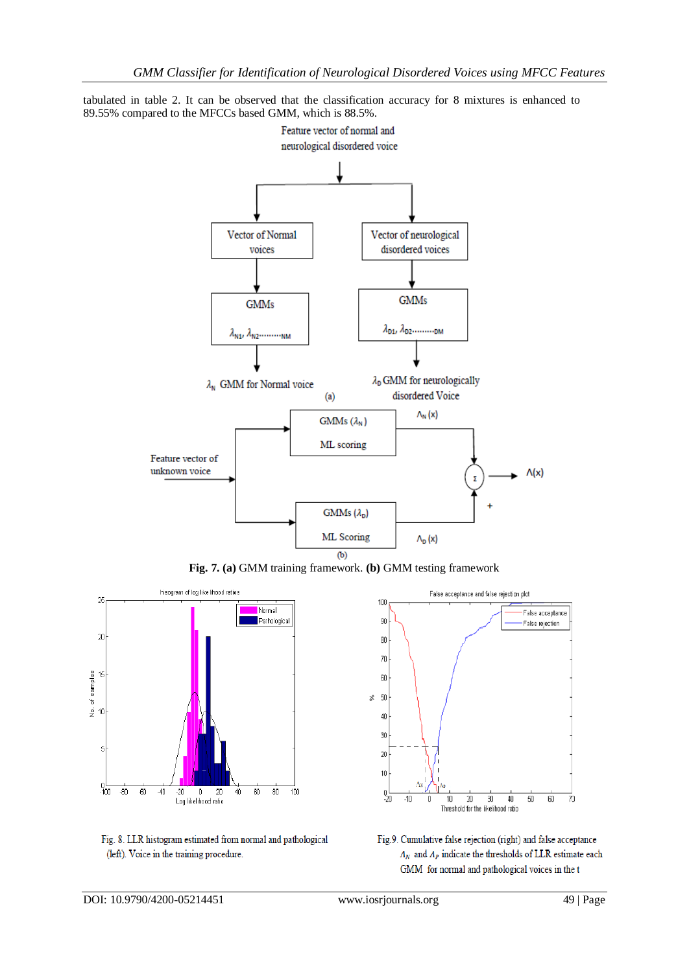tabulated in table 2. It can be observed that the classification accuracy for 8 mixtures is enhanced to 89.55% compared to the MFCCs based GMM, which is 88.5%.



**Fig. 7. (a)** GMM training framework. **(b)** GMM testing framework







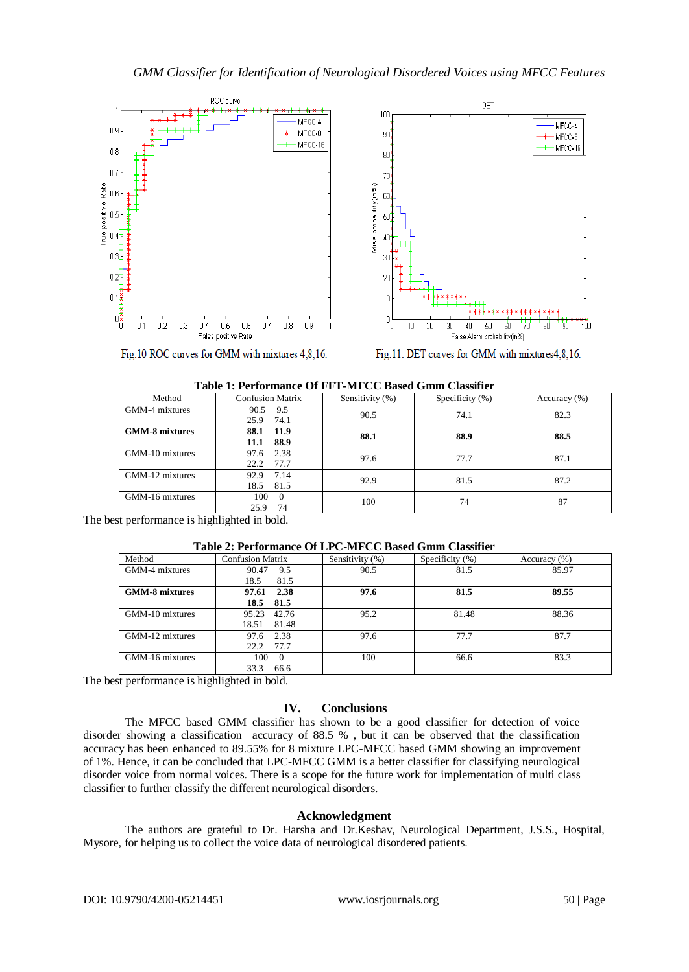

Fig.10 ROC curves for GMM with mixtures 4,8,16.



| Table 1: Ferformance Of FFT-MFCC Dased Gillii Classifier |                         |                 |                    |              |  |  |
|----------------------------------------------------------|-------------------------|-----------------|--------------------|--------------|--|--|
| Method                                                   | <b>Confusion Matrix</b> | Sensitivity (%) | Specificity $(\%)$ | Accuracy (%) |  |  |
| GMM-4 mixtures                                           | 9.5<br>90.5             | 90.5            | 74.1               | 82.3         |  |  |
|                                                          | 74.1<br>25.9            |                 |                    |              |  |  |
| <b>GMM-8 mixtures</b>                                    | 88.1<br>11.9            | 88.1            | 88.9               | 88.5         |  |  |
|                                                          | 88.9<br>11.1            |                 |                    |              |  |  |
| GMM-10 mixtures                                          | 2.38<br>97.6            | 97.6            | 77.7               | 87.1         |  |  |
|                                                          | 77.7<br>22.2            |                 |                    |              |  |  |
| GMM-12 mixtures                                          | 92.9<br>7.14            | 92.9            | 81.5               | 87.2         |  |  |
|                                                          | 18.5<br>81.5            |                 |                    |              |  |  |
| GMM-16 mixtures                                          | 100<br>$\Omega$         | 100             | 74                 | 87           |  |  |
|                                                          | 74<br>25.9              |                 |                    |              |  |  |
|                                                          |                         |                 |                    |              |  |  |

| Table 1: Performance Of FFT-MFCC Based Gmm Classifier |  |  |
|-------------------------------------------------------|--|--|
|                                                       |  |  |

The best performance is highlighted in bold.

#### **Table 2: Performance Of LPC-MFCC Based Gmm Classifier**

| Method                | <b>Confusion Matrix</b> | Sensitivity (%) | Specificity $(\% )$ | Accuracy $(\% )$ |
|-----------------------|-------------------------|-----------------|---------------------|------------------|
| GMM-4 mixtures        | 9.5<br>90.47            | 90.5            | 81.5                | 85.97            |
|                       | 81.5<br>18.5            |                 |                     |                  |
| <b>GMM-8 mixtures</b> | 2.38<br>97.61           | 97.6            | 81.5                | 89.55            |
|                       | 81.5<br>18.5            |                 |                     |                  |
| GMM-10 mixtures       | 42.76<br>95.23          | 95.2            | 81.48               | 88.36            |
|                       | 18.51<br>81.48          |                 |                     |                  |
| GMM-12 mixtures       | 2.38<br>97.6            | 97.6            | 77.7                | 87.7             |
|                       | 77.7<br>22.2            |                 |                     |                  |
| GMM-16 mixtures       | 100<br>$\Omega$         | 100             | 66.6                | 83.3             |
|                       | 33.3<br>66.6            |                 |                     |                  |

The best performance is highlighted in bold.

# **IV. Conclusions**

The MFCC based GMM classifier has shown to be a good classifier for detection of voice disorder showing a classification accuracy of 88.5 % , but it can be observed that the classification accuracy has been enhanced to 89.55% for 8 mixture LPC-MFCC based GMM showing an improvement of 1%. Hence, it can be concluded that LPC-MFCC GMM is a better classifier for classifying neurological disorder voice from normal voices. There is a scope for the future work for implementation of multi class classifier to further classify the different neurological disorders.

## **Acknowledgment**

The authors are grateful to Dr. Harsha and Dr.Keshav, Neurological Department, J.S.S., Hospital, Mysore, for helping us to collect the voice data of neurological disordered patients.